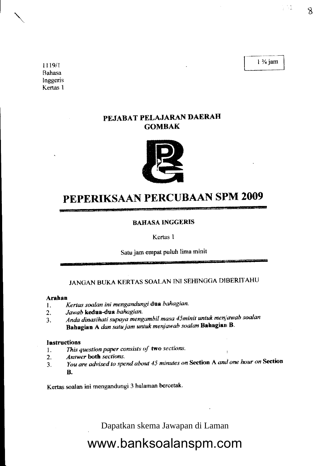$1\frac{3}{4}$  jam

1119/r Bahasa Inggeris Kertas I

### PEJABAT PELAJARAN DAERAH **GOMBAK**



### PEPERIKSAAN PERCUBAAN SPM 2009

#### **BAHASA INGGERIS**

Kertas 1

Satu jam empat puluh lima minit

### JANGAN BUKA KERTAS SOALAN INI SEHINGGA DIBERITAHU

#### Arahan

- 1. Kertas soalan ini mengandungi dua bahagian.
- 2. Jawab kedua-dua bahagian.
- 3. Anda dinasihati supaya mengambil masa 45minit untuk menjawab soalan Bahagian A dan satu jam untuk menjawab soalan Bahagian B.

#### **Instructions**

- 1. This question paper consists of two sections.<br>2. Answer both sections.
- Answer both sections.
- 3. You are advised to spend about 45 minutes on Section A and one hour on Section B.

Kertas soalan ini mengandungi 3 halaman bercetak'

Dapatkan skema Jawapan di Laman

## www.banksoalanspm.com

t Na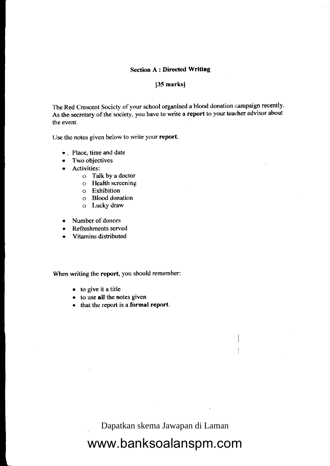#### **Section A : Directed Writing**

#### $[35$  marks]

The Red Crescent Society of your school organised a blood donation campaign recently. As the secretary of the society, you have to write a report to your teacher advisor about the event.

Use the notes given below to write your report.

- Place, time and date
- Two objectives
- Activities:
	- o Talk by a doctor
	- o Flealth screenins
	- o Exhibition
	- o Blood donation
	- o Lucky draw
- Number of donors
- Refreshments served
- Vitamins distributed

When writing the report, you should remember:

- $\bullet$  to give it a title
- . to use all the notes given
- $e$  that the report is a formal report.

Dapatkan skema Jawapan di Laman

## www.banksoalanspm.com